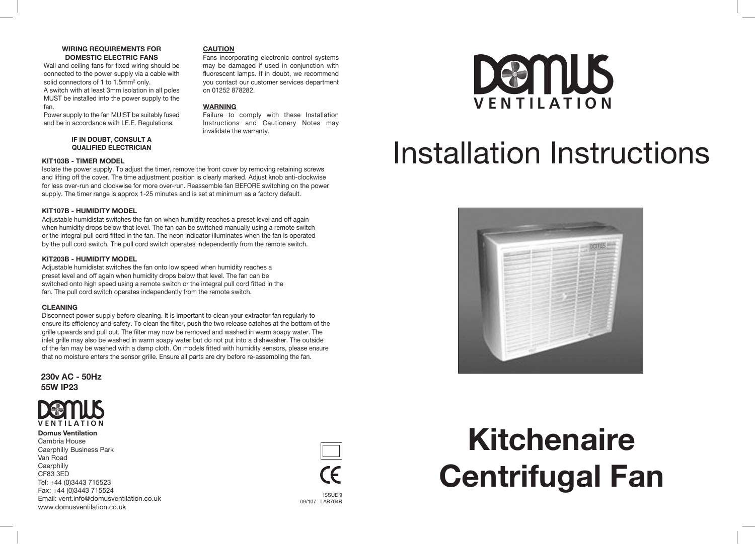### **WIRING REQUIREMENTS FOR DOMESTIC ELECTRIC FANS**

Wall and ceiling fans for fixed wiring should be connected to the power supply via a cable with solid connectors of 1 to 1.5mm2 only. A switch with at least 3mm isolation in all poles MUST be installed into the power supply to the fan.

Power supply to the fan MU|ST be suitably fused and be in accordance with I.E.E. Regulations.

### **IF IN DOUBT, CONSULT A QUALIFIED ELECTRICIAN**

#### **KIT103B - TIMER MODEL**

Isolate the power supply. To adjust the timer, remove the front cover by removing retaining screws and lifting off the cover. The time adjustment position is clearly marked. Adjust knob anti-clockwise for less over-run and clockwise for more over-run. Reassemble fan BEFORE switching on the power supply. The timer range is approx 1-25 minutes and is set at minimum as a factory default.

**CAUTION**

**WARNING**

on 01252 878282.

invalidate the warranty.

Fans incorporating electronic control systems may be damaged if used in conjunction with fluorescent lamps. If in doubt, we recommend you contact our customer services department

Failure to comply with these Installation Instructions and Cautionery Notes may

### **KIT107B - HUMIDITY MODEL**

Adjustable humidistat switches the fan on when humidity reaches a preset level and off again when humidity drops below that level. The fan can be switched manually using a remote switch or the integral pull cord fitted in the fan. The neon indicator illuminates when the fan is operated by the pull cord switch. The pull cord switch operates independently from the remote switch.

### **KIT203B - HUMIDITY MODEL**

Adjustable humidistat switches the fan onto low speed when humidity reaches a preset level and off again when humidity drops below that level. The fan can be switched onto high speed using a remote switch or the integral pull cord fitted in the fan. The pull cord switch operates independently from the remote switch.

### **CLEANING**

Disconnect power supply before cleaning. It is important to clean your extractor fan regularly to ensure its efficiency and safety. To clean the filter, push the two release catches at the bottom of the grille upwards and pull out. The filter may now be removed and washed in warm soapy water. The inlet grille may also be washed in warm soapy water but do not put into a dishwasher. The outside of the fan may be washed with a damp cloth. On models fitted with humidity sensors, please ensure that no moisture enters the sensor grille. Ensure all parts are dry before re-assembling the fan.

**230v AC - 50Hz 55W IP23**



**Domus Ventilation** Cambria House Caerphilly Business Park Van Road **Caerphilly** CF83 3ED Tel: +44 (0)3443 715523 Fax: +44 (0)3443 715524 Email: vent.info@domusventilation.co.uk www.domusventilation.co.uk



# **Demus**

### Installation Instructions

**V E N T I L A T I O N**



## **Kitchenaire Centrifugal Fan**

ISSUE 9 09/107 LAB704R